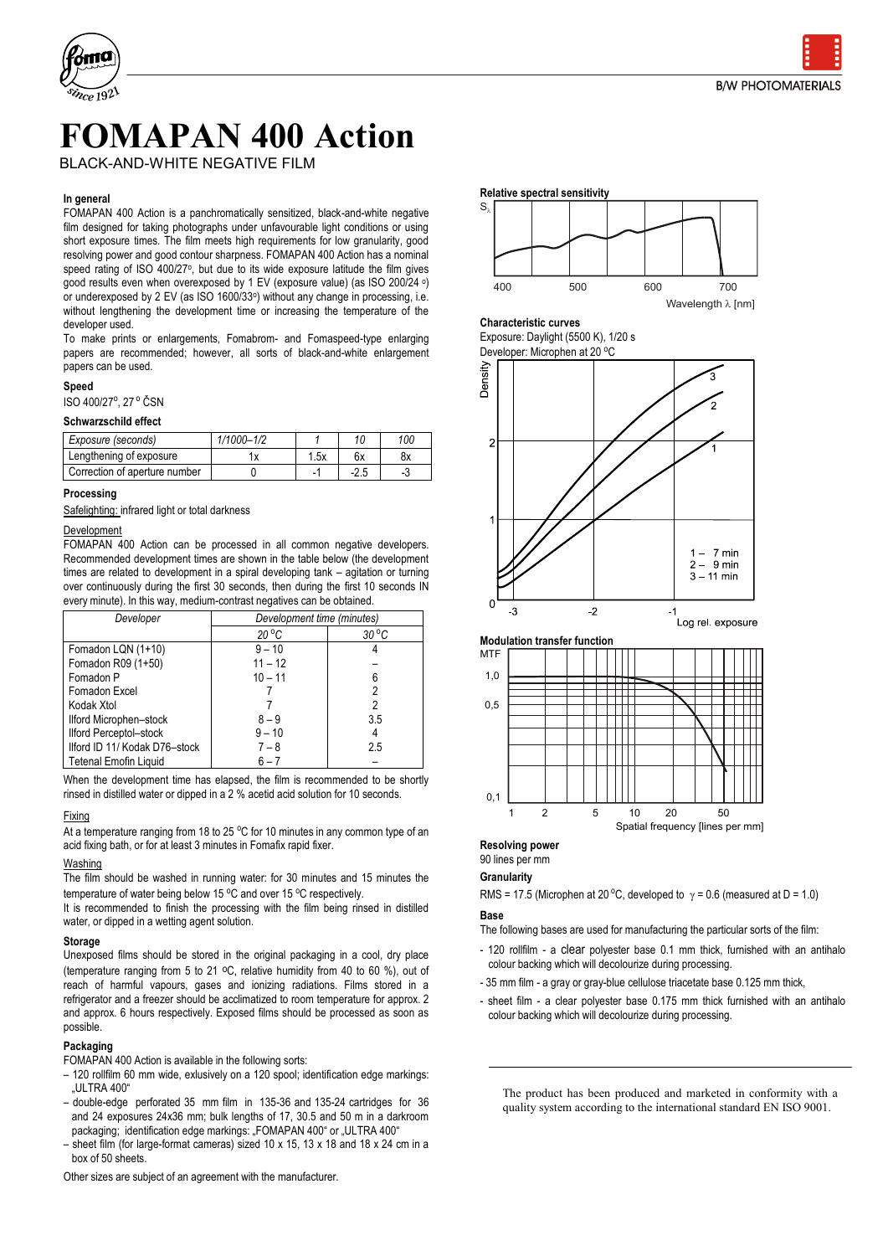

# **FOMAPAN 400 Action**

BLACK-AND-WHITE NEGATIVE FILM

#### **In general**

FOMAPAN 400 Action is a panchromatically sensitized, black-and-white negative film designed for taking photographs under unfavourable light conditions or using short exposure times. The film meets high requirements for low granularity, good resolving power and good contour sharpness. FOMAPAN 400 Action has a nominal speed rating of ISO 400/27°, but due to its wide exposure latitude the film gives good results even when overexposed by 1 EV (exposure value) (as ISO 200/24 <sup>o</sup> ) or underexposed by 2 EV (as ISO 1600/33<sup>o</sup> ) without any change in processing, i.e. without lengthening the development time or increasing the temperature of the developer used.

To make prints or enlargements, Fomabrom- and Fomaspeed-type enlarging papers are recommended; however, all sorts of black-and-white enlargement papers can be used.

#### **Speed**

ISO 400/27°, 27 ° ČSN

#### **Schwarzschild effect**

| Exposure (seconds)            | $1/1000 - 1/2$ |      | 10     | 100 |
|-------------------------------|----------------|------|--------|-----|
| Lengthening of exposure       |                | 1.5x | 6x     | 8х  |
| Correction of aperture number |                |      | $-2.5$ |     |

#### **Processing**

Safelighting: infrared light or total darkness

#### Development

FOMAPAN 400 Action can be processed in all common negative developers. Recommended development times are shown in the table below (the development times are related to development in a spiral developing tank – agitation or turning over continuously during the first 30 seconds, then during the first 10 seconds IN every minute). In this way, medium-contrast negatives can be obtained.

| Developer                     | Development time (minutes) |                |  |
|-------------------------------|----------------------------|----------------|--|
|                               | $20^{\circ}$ C             | $30^{\circ}$ C |  |
| Fomadon LQN (1+10)            | $9 - 10$                   |                |  |
| Fomadon R09 (1+50)            | $11 - 12$                  |                |  |
| Fomadon P                     | $10 - 11$                  | 6              |  |
| Fomadon Excel                 |                            |                |  |
| Kodak Xtol                    |                            |                |  |
| Ilford Microphen-stock        | $8 - 9$                    | 3.5            |  |
| Ilford Perceptol-stock        | $9 - 10$                   |                |  |
| Ilford ID 11/ Kodak D76-stock | $7 - 8$                    | 2.5            |  |
| Tetenal Emofin Liquid         | $6 - 7$                    |                |  |

When the development time has elapsed, the film is recommended to be shortly rinsed in distilled water or dipped in a 2 % acetid acid solution for 10 seconds.

#### Fixing

At a temperature ranging from 18 to 25  $\degree$ C for 10 minutes in any common type of an acid fixing bath, or for at least 3 minutes in Fomafix rapid fixer.

#### Washing

The film should be washed in running water: for 30 minutes and 15 minutes the temperature of water being below 15  $\degree$ C and over 15  $\degree$ C respectively.

It is recommended to finish the processing with the film being rinsed in distilled water, or dipped in a wetting agent solution.

#### **Storage**

Unexposed films should be stored in the original packaging in a cool, dry place (temperature ranging from 5 to 21 oC, relative humidity from 40 to 60 %), out of reach of harmful vapours, gases and ionizing radiations. Films stored in a refrigerator and a freezer should be acclimatized to room temperature for approx. 2 and approx. 6 hours respectively. Exposed films should be processed as soon as possible.

#### **Packaging**

FOMAPAN 400 Action is available in the following sorts:

- 120 rollfilm 60 mm wide, exlusively on a 120 spool; identification edge markings: "ULTRA 400"
- double-edge perforated 35 mm film in 135-36 and 135-24 cartridges for 36 and 24 exposures 24x36 mm; bulk lengths of 17, 30.5 and 50 m in a darkroom packaging; identification edge markings: "FOMAPAN 400" or "ULTRA 400"
- sheet film (for large-format cameras) sized 10 x 15, 13 x 18 and 18 x 24 cm in a box of 50 sheets.

Other sizes are subject of an agreement with the manufacturer.



**Characteristic curves** Exposure: Daylight (5500 K), 1/20 s

Developer: Microphen at 20 °C





#### **Resolving power**

### 90 lines per mm

#### **Granularity**

RMS = 17.5 (Microphen at 20 °C, developed to  $\gamma$  = 0.6 (measured at D = 1.0)

#### **Base**

The following bases are used for manufacturing the particular sorts of the film:

- 120 rollfilm a clear polyester base 0.1 mm thick, furnished with an antihalo colour backing which will decolourize during processing.
- 35 mm film a gray or gray-blue cellulose triacetate base 0.125 mm thick,
- sheet film a clear polyester base 0.175 mm thick furnished with an antihalo colour backing which will decolourize during processing.

The product has been produced and marketed in conformity with a quality system according to the international standard EN ISO 9001.